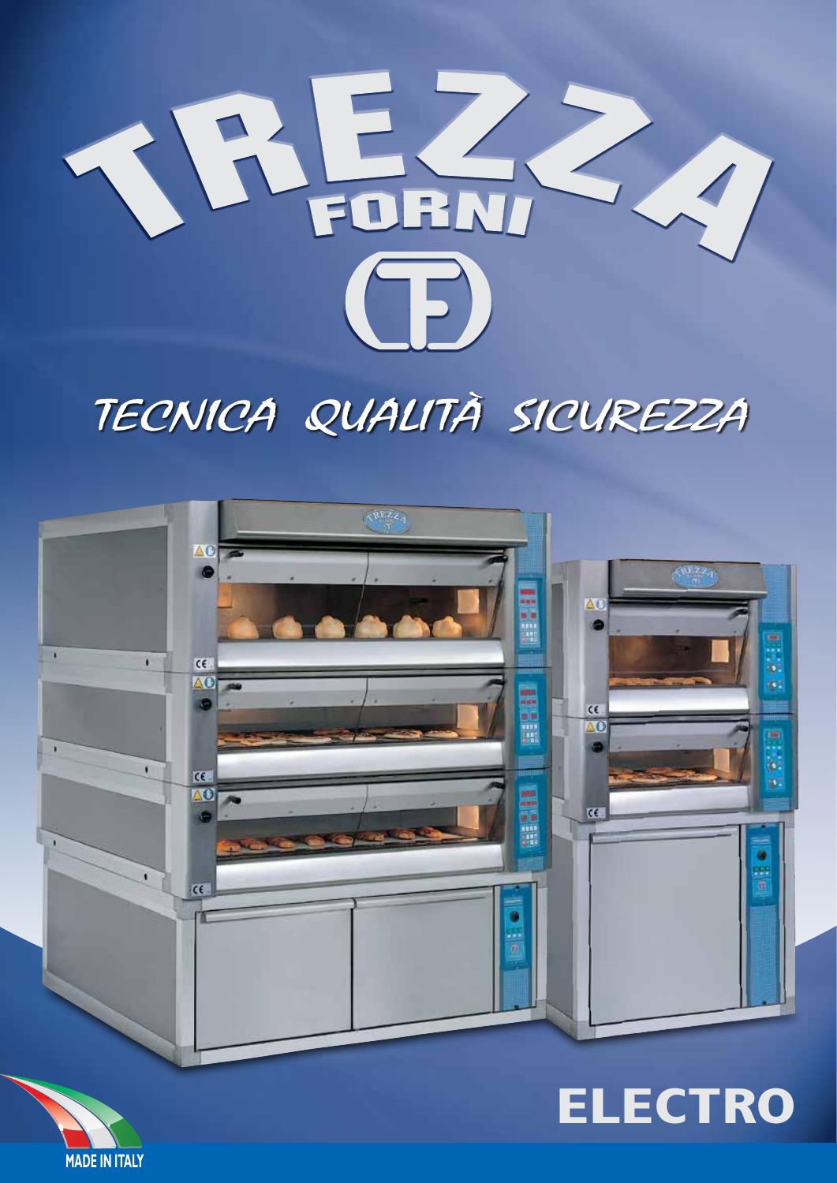

# TECNICA QUALITÀ SICUREZZA



# **ELECTRO**